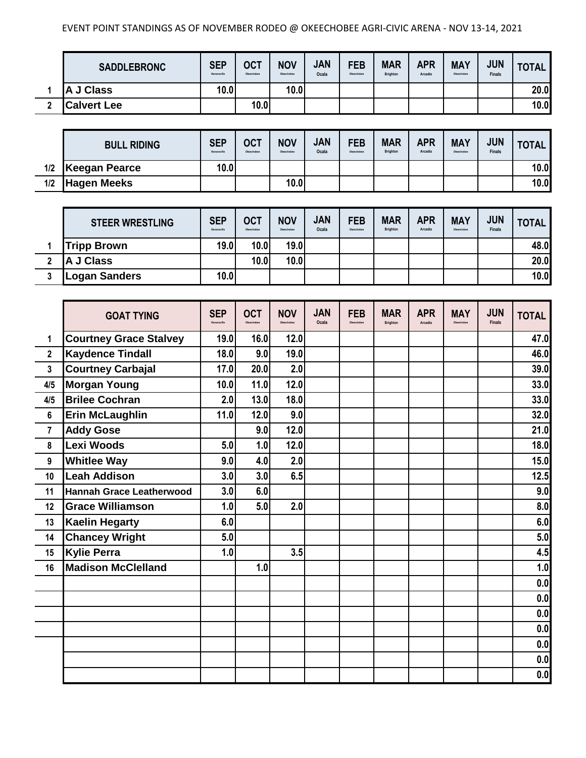## EVENT POINT STANDINGS AS OF NOVEMBER RODEO @ OKEECHOBEE AGRI-CIVIC ARENA - NOV 13-14, 2021

|   | <b>SADDLEBRONC</b> | <b>SEP</b><br>Kenansville | <b>OCT</b><br>Okeechobee | <b>NOV</b><br>Okeechobee | <b>JAN</b><br>Ocala | <b>FEB</b><br>Okeechobee | <b>MAR</b><br>Brighton | <b>APR</b><br>Arcadia | <b>MAY</b><br>Okeechobee | <b>JUN</b><br><b>Finals</b> | TOTAL. |
|---|--------------------|---------------------------|--------------------------|--------------------------|---------------------|--------------------------|------------------------|-----------------------|--------------------------|-----------------------------|--------|
|   | J Class<br>A       | 10.0                      |                          | 10.0                     |                     |                          |                        |                       |                          |                             | 20.0   |
| ◠ | <b>Calvert Lee</b> |                           | 10.0                     |                          |                     |                          |                        |                       |                          |                             | 10.0   |

|     | <b>BULL RIDING</b> | <b>SEP</b><br>Kenansville | <b>OCT</b><br>Okeechobee | <b>NOV</b><br>Okeechobee | <b>JAN</b><br>Ocala | <b>FEB</b><br>Okeechobee | <b>MAR</b><br><b>Brighton</b> | <b>APR</b><br>Arcadia | <b>MAY</b><br>Okeechobee | <b>JUN</b><br><b>Finals</b> | TOTAL. |
|-----|--------------------|---------------------------|--------------------------|--------------------------|---------------------|--------------------------|-------------------------------|-----------------------|--------------------------|-----------------------------|--------|
| 1/2 | Keegan Pearce      | 10.0                      |                          |                          |                     |                          |                               |                       |                          |                             | 10.0   |
| 1/2 | <b>Hagen Meeks</b> |                           |                          | 10.0                     |                     |                          |                               |                       |                          |                             | 10.0   |

| <b>STEER WRESTLING</b> | <b>SEP</b><br>Kenansville | <b>OCT</b><br>Okeechobee | <b>NOV</b><br>Okeechobee | <b>JAN</b><br>Ocala | <b>FEB</b><br>Okeechobee | <b>MAR</b><br>Brighton | <b>APR</b><br>Arcadia | <b>MAY</b><br>Okeechobee | <b>JUN</b><br><b>Finals</b> | <b>TOTAL</b> |
|------------------------|---------------------------|--------------------------|--------------------------|---------------------|--------------------------|------------------------|-----------------------|--------------------------|-----------------------------|--------------|
| <b>Tripp Brown</b>     | 19.0                      | 10.0                     | 19.0                     |                     |                          |                        |                       |                          |                             | 48.0         |
| A J Class              |                           | 10.0                     | 10.0                     |                     |                          |                        |                       |                          |                             | 20.0         |
| <b>Logan Sanders</b>   | 10.0                      |                          |                          |                     |                          |                        |                       |                          |                             | 10.0         |

|                         | <b>GOAT TYING</b>               | <b>SEP</b><br>Kenansville | <b>OCT</b> | <b>NOV</b> | <b>JAN</b><br>Ocala | <b>FEB</b><br>Okeechober | <b>MAR</b><br><b>Brighton</b> | <b>APR</b><br>Arcadia | <b>MAY</b><br>Okeechobee | <b>JUN</b><br><b>Finals</b> | <b>TOTAL</b> |
|-------------------------|---------------------------------|---------------------------|------------|------------|---------------------|--------------------------|-------------------------------|-----------------------|--------------------------|-----------------------------|--------------|
| 1                       | <b>Courtney Grace Stalvey</b>   | 19.0                      | 16.0       | 12.0       |                     |                          |                               |                       |                          |                             | 47.0         |
| $\overline{2}$          | <b>Kaydence Tindall</b>         | 18.0                      | 9.0        | 19.0       |                     |                          |                               |                       |                          |                             | 46.0         |
| 3                       | <b>Courtney Carbajal</b>        | 17.0                      | 20.0       | 2.0        |                     |                          |                               |                       |                          |                             | 39.0         |
| 4/5                     | <b>Morgan Young</b>             | 10.0                      | 11.0       | 12.0       |                     |                          |                               |                       |                          |                             | 33.0         |
| 4/5                     | <b>Brilee Cochran</b>           | 2.0                       | 13.0       | 18.0       |                     |                          |                               |                       |                          |                             | 33.0         |
| 6                       | <b>Erin McLaughlin</b>          | 11.0                      | 12.0       | 9.0        |                     |                          |                               |                       |                          |                             | 32.0         |
| $\overline{\mathbf{r}}$ | <b>Addy Gose</b>                |                           | 9.0        | 12.0       |                     |                          |                               |                       |                          |                             | 21.0         |
| 8                       | <b>Lexi Woods</b>               | 5.0                       | 1.0        | 12.0       |                     |                          |                               |                       |                          |                             | 18.0         |
| 9                       | <b>Whitlee Way</b>              | 9.0                       | 4.0        | 2.0        |                     |                          |                               |                       |                          |                             | 15.0         |
| 10                      | <b>Leah Addison</b>             | 3.0                       | 3.0        | 6.5        |                     |                          |                               |                       |                          |                             | 12.5         |
| 11                      | <b>Hannah Grace Leatherwood</b> | 3.0                       | 6.0        |            |                     |                          |                               |                       |                          |                             | 9.0          |
| 12                      | <b>Grace Williamson</b>         | 1.0                       | 5.0        | 2.0        |                     |                          |                               |                       |                          |                             | 8.0          |
| 13                      | <b>Kaelin Hegarty</b>           | 6.0                       |            |            |                     |                          |                               |                       |                          |                             | 6.0          |
| 14                      | <b>Chancey Wright</b>           | 5.0                       |            |            |                     |                          |                               |                       |                          |                             | 5.0          |
| 15                      | <b>Kylie Perra</b>              | 1.0                       |            | 3.5        |                     |                          |                               |                       |                          |                             | 4.5          |
| 16                      | <b>Madison McClelland</b>       |                           | 1.0        |            |                     |                          |                               |                       |                          |                             | 1.0          |
|                         |                                 |                           |            |            |                     |                          |                               |                       |                          |                             | 0.0          |
|                         |                                 |                           |            |            |                     |                          |                               |                       |                          |                             | 0.0          |
|                         |                                 |                           |            |            |                     |                          |                               |                       |                          |                             | 0.0          |
|                         |                                 |                           |            |            |                     |                          |                               |                       |                          |                             | 0.0          |
|                         |                                 |                           |            |            |                     |                          |                               |                       |                          |                             | 0.0          |
|                         |                                 |                           |            |            |                     |                          |                               |                       |                          |                             | 0.0          |
|                         |                                 |                           |            |            |                     |                          |                               |                       |                          |                             | 0.0          |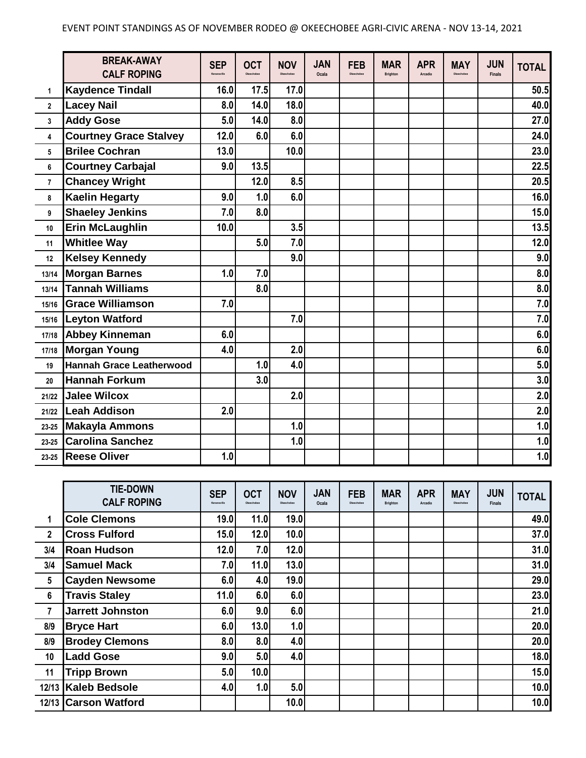|                | <b>BREAK-AWAY</b><br><b>CALF ROPING</b> | <b>SEP</b><br>Kenansville | <b>OCT</b><br>Okeechobee | <b>NOV</b><br>Okeachober | <b>JAN</b><br>Ocala | <b>FEB</b><br>Okeechobe | <b>MAR</b><br><b>Brighton</b> | <b>APR</b><br>Arcadia | <b>MAY</b><br>Okeechobee | <b>JUN</b><br><b>Finals</b> | <b>TOTAL</b> |
|----------------|-----------------------------------------|---------------------------|--------------------------|--------------------------|---------------------|-------------------------|-------------------------------|-----------------------|--------------------------|-----------------------------|--------------|
| 1              | <b>Kaydence Tindall</b>                 | 16.0                      | 17.5                     | 17.0                     |                     |                         |                               |                       |                          |                             | 50.5         |
| $\mathbf{2}$   | <b>Lacey Nail</b>                       | 8.0                       | 14.0                     | 18.0                     |                     |                         |                               |                       |                          |                             | 40.0         |
| 3              | <b>Addy Gose</b>                        | 5.0                       | 14.0                     | 8.0                      |                     |                         |                               |                       |                          |                             | 27.0         |
| 4              | <b>Courtney Grace Stalvey</b>           | 12.0                      | 6.0                      | 6.0                      |                     |                         |                               |                       |                          |                             | 24.0         |
| 5              | <b>Brilee Cochran</b>                   | 13.0                      |                          | 10.0                     |                     |                         |                               |                       |                          |                             | 23.0         |
| 6              | <b>Courtney Carbajal</b>                | 9.0                       | 13.5                     |                          |                     |                         |                               |                       |                          |                             | 22.5         |
| $\overline{7}$ | <b>Chancey Wright</b>                   |                           | 12.0                     | 8.5                      |                     |                         |                               |                       |                          |                             | 20.5         |
| 8              | <b>Kaelin Hegarty</b>                   | 9.0                       | 1.0                      | 6.0                      |                     |                         |                               |                       |                          |                             | 16.0         |
| 9              | <b>Shaeley Jenkins</b>                  | 7.0                       | 8.0                      |                          |                     |                         |                               |                       |                          |                             | 15.0         |
| 10             | <b>Erin McLaughlin</b>                  | 10.0                      |                          | 3.5                      |                     |                         |                               |                       |                          |                             | 13.5         |
| 11             | <b>Whitlee Way</b>                      |                           | 5.0                      | 7.0                      |                     |                         |                               |                       |                          |                             | 12.0         |
| 12             | <b>Kelsey Kennedy</b>                   |                           |                          | 9.0                      |                     |                         |                               |                       |                          |                             | 9.0          |
| 13/14          | <b>Morgan Barnes</b>                    | 1.0                       | 7.0                      |                          |                     |                         |                               |                       |                          |                             | 8.0          |
| 13/14          | <b>Tannah Williams</b>                  |                           | 8.0                      |                          |                     |                         |                               |                       |                          |                             | 8.0          |
| 15/16          | <b>Grace Williamson</b>                 | 7.0                       |                          |                          |                     |                         |                               |                       |                          |                             | 7.0          |
| 15/16          | <b>Leyton Watford</b>                   |                           |                          | 7.0                      |                     |                         |                               |                       |                          |                             | 7.0          |
| 17/18          | <b>Abbey Kinneman</b>                   | 6.0                       |                          |                          |                     |                         |                               |                       |                          |                             | 6.0          |
| 17/18          | <b>Morgan Young</b>                     | 4.0                       |                          | 2.0                      |                     |                         |                               |                       |                          |                             | 6.0          |
| 19             | Hannah Grace Leatherwood                |                           | 1.0                      | 4.0                      |                     |                         |                               |                       |                          |                             | 5.0          |
| 20             | <b>Hannah Forkum</b>                    |                           | 3.0                      |                          |                     |                         |                               |                       |                          |                             | 3.0          |
| 21/22          | <b>Jalee Wilcox</b>                     |                           |                          | 2.0                      |                     |                         |                               |                       |                          |                             | 2.0          |
| 21/22          | <b>Leah Addison</b>                     | 2.0                       |                          |                          |                     |                         |                               |                       |                          |                             | 2.0          |
| $23 - 25$      | <b>Makayla Ammons</b>                   |                           |                          | 1.0                      |                     |                         |                               |                       |                          |                             | 1.0          |
| $23 - 25$      | <b>Carolina Sanchez</b>                 |                           |                          | 1.0                      |                     |                         |                               |                       |                          |                             | 1.0          |
|                | 23-25 Reese Oliver                      | 1.0                       |                          |                          |                     |                         |                               |                       |                          |                             | 1.0          |

|                 | <b>TIE-DOWN</b><br><b>CALF ROPING</b> | <b>SEP</b><br>Kenansville | <b>OCT</b><br>Okeechobee | <b>NOV</b><br>Okeechobee | <b>JAN</b><br>Ocala | <b>FEB</b><br>Okeechobee | <b>MAR</b><br>Brighton | <b>APR</b><br>Arcadia | <b>MAY</b><br>Okeechobee | <b>JUN</b><br><b>Finals</b> | <b>TOTAL</b> |
|-----------------|---------------------------------------|---------------------------|--------------------------|--------------------------|---------------------|--------------------------|------------------------|-----------------------|--------------------------|-----------------------------|--------------|
| 1               | <b>Cole Clemons</b>                   | 19.0                      | 11.0                     | 19.0                     |                     |                          |                        |                       |                          |                             | 49.0         |
| $\mathbf{2}$    | <b>Cross Fulford</b>                  | 15.0                      | 12.0                     | 10.0                     |                     |                          |                        |                       |                          |                             | 37.0         |
| 3/4             | <b>Roan Hudson</b>                    | 12.0                      | 7.0                      | 12.0                     |                     |                          |                        |                       |                          |                             | 31.0         |
| 3/4             | <b>Samuel Mack</b>                    | 7.0                       | 11.0                     | 13.0                     |                     |                          |                        |                       |                          |                             | 31.0         |
| $5\phantom{.0}$ | <b>Cayden Newsome</b>                 | 6.0                       | 4.0                      | <b>19.0</b>              |                     |                          |                        |                       |                          |                             | 29.0         |
| 6               | <b>Travis Staley</b>                  | 11.0                      | 6.0                      | 6.0                      |                     |                          |                        |                       |                          |                             | 23.0         |
| $\overline{7}$  | <b>Jarrett Johnston</b>               | 6.0                       | 9.0                      | 6.0                      |                     |                          |                        |                       |                          |                             | 21.0         |
| 8/9             | <b>Bryce Hart</b>                     | 6.0                       | 13.0                     | 1.0                      |                     |                          |                        |                       |                          |                             | 20.0         |
| 8/9             | <b>Brodey Clemons</b>                 | 8.0                       | 8.0                      | 4.0                      |                     |                          |                        |                       |                          |                             | 20.0         |
| 10              | <b>Ladd Gose</b>                      | 9.0                       | 5.0                      | 4.0 <sub>l</sub>         |                     |                          |                        |                       |                          |                             | 18.0         |
| 11              | <b>Tripp Brown</b>                    | 5.0                       | 10.0                     |                          |                     |                          |                        |                       |                          |                             | 15.0         |
| 12/13           | <b>Kaleb Bedsole</b>                  | 4.0                       | 1.0                      | 5.0                      |                     |                          |                        |                       |                          |                             | 10.0         |
|                 | 12/13 Carson Watford                  |                           |                          | 10.0                     |                     |                          |                        |                       |                          |                             | 10.0         |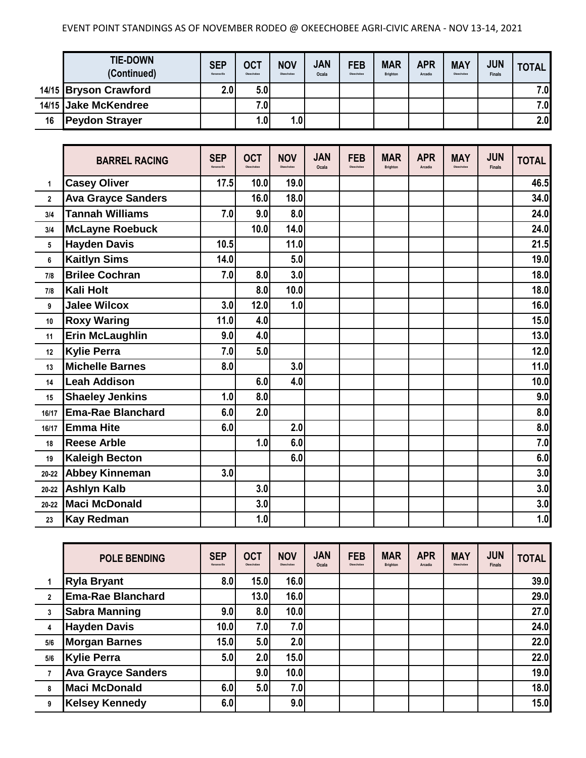## EVENT POINT STANDINGS AS OF NOVEMBER RODEO @ OKEECHOBEE AGRI-CIVIC ARENA - NOV 13-14, 2021

|    | <b>TIE-DOWN</b><br>(Continued) | <b>SEP</b><br>Kenansville | <b>OCT</b><br>Okeechobee | <b>NOV</b><br>Okeechobee | <b>JAN</b><br>Ocala | <b>FEB</b><br>Okeechobee | <b>MAR</b><br><b>Brighton</b> | <b>APR</b><br>Arcadia | <b>MAY</b><br>Okeechobee | <b>JUN</b><br><b>Finals</b> | <b>TOTAL</b> |
|----|--------------------------------|---------------------------|--------------------------|--------------------------|---------------------|--------------------------|-------------------------------|-----------------------|--------------------------|-----------------------------|--------------|
|    | 14/15 Bryson Crawford          | 2.0 <sub>l</sub>          | 5.0                      |                          |                     |                          |                               |                       |                          |                             | 7.0          |
|    | 14/15 Jake McKendree           |                           | 7.0                      |                          |                     |                          |                               |                       |                          |                             | 7.0          |
| 16 | <b>Peydon Strayer</b>          |                           | 1.01                     | 1.0                      |                     |                          |                               |                       |                          |                             | 2.0          |

|              | <b>BARREL RACING</b>      | <b>SEP</b><br>Kenansville | <b>OCT</b><br>Okeechobe | <b>NOV</b><br>Okeachobea | <b>JAN</b><br>Ocala | <b>FEB</b><br>Okeechoher | <b>MAR</b><br><b>Brighton</b> | <b>APR</b><br>Arcadia | <b>MAY</b><br>Okeechobee | <b>JUN</b><br><b>Finals</b> | <b>TOTAL</b> |
|--------------|---------------------------|---------------------------|-------------------------|--------------------------|---------------------|--------------------------|-------------------------------|-----------------------|--------------------------|-----------------------------|--------------|
| 1            | <b>Casey Oliver</b>       | 17.5                      | 10.0                    | 19.0                     |                     |                          |                               |                       |                          |                             | 46.5         |
| $\mathbf{2}$ | <b>Ava Grayce Sanders</b> |                           | 16.0                    | 18.0                     |                     |                          |                               |                       |                          |                             | 34.0         |
| 3/4          | <b>Tannah Williams</b>    | 7.0                       | 9.0                     | 8.0                      |                     |                          |                               |                       |                          |                             | 24.0         |
| 3/4          | <b>McLayne Roebuck</b>    |                           | 10.0                    | 14.0                     |                     |                          |                               |                       |                          |                             | 24.0         |
| 5            | <b>Hayden Davis</b>       | 10.5                      |                         | 11.0                     |                     |                          |                               |                       |                          |                             | 21.5         |
| 6            | <b>Kaitlyn Sims</b>       | 14.0                      |                         | 5.0                      |                     |                          |                               |                       |                          |                             | 19.0         |
| 7/8          | <b>Brilee Cochran</b>     | 7.0                       | 8.0                     | 3.0                      |                     |                          |                               |                       |                          |                             | 18.0         |
| 7/8          | Kali Holt                 |                           | 8.0                     | 10.0                     |                     |                          |                               |                       |                          |                             | 18.0         |
| 9            | <b>Jalee Wilcox</b>       | 3.0                       | 12.0                    | 1.0                      |                     |                          |                               |                       |                          |                             | 16.0         |
| 10           | <b>Roxy Waring</b>        | 11.0                      | 4.0                     |                          |                     |                          |                               |                       |                          |                             | 15.0         |
| 11           | <b>Erin McLaughlin</b>    | 9.0                       | 4.0                     |                          |                     |                          |                               |                       |                          |                             | 13.0         |
| 12           | <b>Kylie Perra</b>        | 7.0                       | 5.0                     |                          |                     |                          |                               |                       |                          |                             | 12.0         |
| 13           | <b>Michelle Barnes</b>    | 8.0                       |                         | 3.0                      |                     |                          |                               |                       |                          |                             | 11.0         |
| 14           | <b>Leah Addison</b>       |                           | 6.0                     | 4.0                      |                     |                          |                               |                       |                          |                             | 10.0         |
| 15           | <b>Shaeley Jenkins</b>    | 1.0                       | 8.0                     |                          |                     |                          |                               |                       |                          |                             | 9.0          |
| 16/17        | <b>Ema-Rae Blanchard</b>  | 6.0                       | 2.0                     |                          |                     |                          |                               |                       |                          |                             | 8.0          |
| 16/17        | <b>Emma Hite</b>          | 6.0                       |                         | 2.0                      |                     |                          |                               |                       |                          |                             | 8.0          |
| 18           | <b>Reese Arble</b>        |                           | 1.0                     | 6.0                      |                     |                          |                               |                       |                          |                             | 7.0          |
| 19           | <b>Kaleigh Becton</b>     |                           |                         | 6.0                      |                     |                          |                               |                       |                          |                             | 6.0          |
| $20 - 22$    | <b>Abbey Kinneman</b>     | 3.0                       |                         |                          |                     |                          |                               |                       |                          |                             | 3.0          |
| $20 - 22$    | <b>Ashlyn Kalb</b>        |                           | 3.0                     |                          |                     |                          |                               |                       |                          |                             | 3.0          |
| $20 - 22$    | <b>Maci McDonald</b>      |                           | 3.0                     |                          |                     |                          |                               |                       |                          |                             | 3.0          |
| 23           | <b>Kay Redman</b>         |                           | 1.0                     |                          |                     |                          |                               |                       |                          |                             | 1.0          |

|                | <b>POLE BENDING</b>       | <b>SEP</b><br>Kenansville | <b>OCT</b><br>Okeechobee | <b>NOV</b><br>Okeechobee | <b>JAN</b><br>Ocala | <b>FEB</b><br>Okeechobee | <b>MAR</b><br><b>Brighton</b> | <b>APR</b><br>Arcadia | <b>MAY</b><br>Okeechobee | <b>JUN</b><br><b>Finals</b> | <b>TOTAL</b> |
|----------------|---------------------------|---------------------------|--------------------------|--------------------------|---------------------|--------------------------|-------------------------------|-----------------------|--------------------------|-----------------------------|--------------|
|                | <b>Ryla Bryant</b>        | 8.0 <sub>1</sub>          | 15.0                     | 16.0                     |                     |                          |                               |                       |                          |                             | 39.0         |
| $\overline{2}$ | <b>Ema-Rae Blanchard</b>  |                           | 13.0                     | 16.0                     |                     |                          |                               |                       |                          |                             | 29.0         |
| 3              | <b>Sabra Manning</b>      | 9.0                       | 8.0                      | 10.0                     |                     |                          |                               |                       |                          |                             | 27.0         |
| 4              | <b>Hayden Davis</b>       | 10.0                      | 7.0                      | 7.0                      |                     |                          |                               |                       |                          |                             | 24.0         |
| 5/6            | <b>Morgan Barnes</b>      | 15.0                      | 5.0                      | 2.0                      |                     |                          |                               |                       |                          |                             | 22.0         |
| 5/6            | <b>Kylie Perra</b>        | 5.0                       | 2.0                      | 15.0                     |                     |                          |                               |                       |                          |                             | 22.0         |
|                | <b>Ava Grayce Sanders</b> |                           | 9.0                      | 10.0                     |                     |                          |                               |                       |                          |                             | 19.0         |
| 8              | <b>Maci McDonald</b>      | 6.0                       | 5.0                      | 7.0                      |                     |                          |                               |                       |                          |                             | 18.0         |
| 9              | <b>Kelsey Kennedy</b>     | 6.0                       |                          | 9.0                      |                     |                          |                               |                       |                          |                             | 15.0         |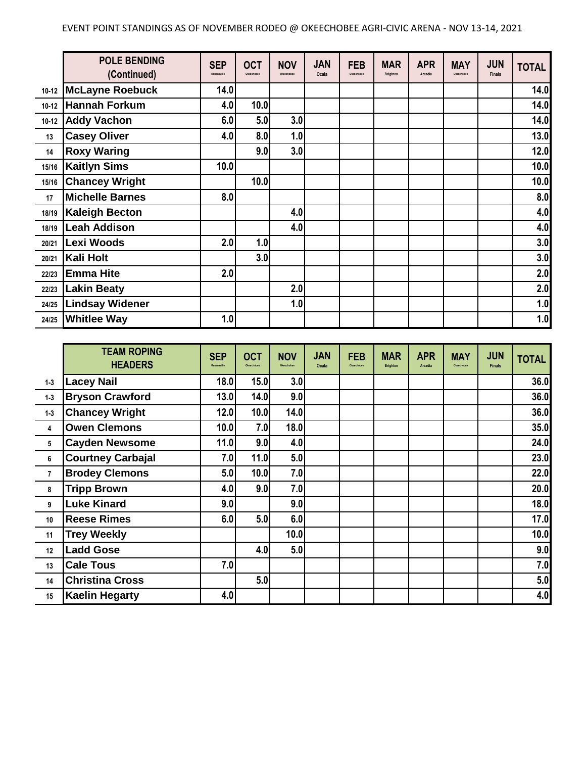|           | <b>POLE BENDING</b><br>(Continued) | <b>SEP</b><br>Kenansville | <b>OCT</b><br>Okeechobee | <b>NOV</b><br>Okeechobee | <b>JAN</b><br>Ocala | <b>FEB</b><br>Okeechobee | <b>MAR</b><br><b>Brighton</b> | <b>APR</b><br>Arcadia | <b>MAY</b><br>Okeechobee | <b>JUN</b><br><b>Finals</b> | <b>TOTAL</b> |
|-----------|------------------------------------|---------------------------|--------------------------|--------------------------|---------------------|--------------------------|-------------------------------|-----------------------|--------------------------|-----------------------------|--------------|
|           | 10-12 McLayne Roebuck              | 14.0                      |                          |                          |                     |                          |                               |                       |                          |                             | 14.0         |
| $10 - 12$ | Hannah Forkum                      | 4.0                       | 10.0                     |                          |                     |                          |                               |                       |                          |                             | 14.0         |
| $10 - 12$ | <b>Addy Vachon</b>                 | 6.0                       | 5.0                      | 3.0                      |                     |                          |                               |                       |                          |                             | 14.0         |
| 13        | <b>Casey Oliver</b>                | 4.0                       | 8.0                      | 1.0                      |                     |                          |                               |                       |                          |                             | $13.0$       |
| 14        | <b>Roxy Waring</b>                 |                           | 9.0                      | 3.0                      |                     |                          |                               |                       |                          |                             | $12.0$       |
| 15/16     | <b>Kaitlyn Sims</b>                | 10.0                      |                          |                          |                     |                          |                               |                       |                          |                             | 10.0         |
| 15/16     | <b>Chancey Wright</b>              |                           | 10.0                     |                          |                     |                          |                               |                       |                          |                             | 10.0         |
| 17        | <b>Michelle Barnes</b>             | 8.0                       |                          |                          |                     |                          |                               |                       |                          |                             | 8.0          |
| 18/19     | <b>Kaleigh Becton</b>              |                           |                          | 4.0                      |                     |                          |                               |                       |                          |                             | 4.0          |
| 18/19     | <b>Leah Addison</b>                |                           |                          | 4.0                      |                     |                          |                               |                       |                          |                             | 4.0          |
| 20/21     | Lexi Woods                         | 2.0                       | 1.0                      |                          |                     |                          |                               |                       |                          |                             | 3.0          |
| 20/21     | Kali Holt                          |                           | 3.0                      |                          |                     |                          |                               |                       |                          |                             | 3.0          |
| 22/23     | <b>Emma Hite</b>                   | 2.0                       |                          |                          |                     |                          |                               |                       |                          |                             | 2.0          |
| 22/23     | <b>Lakin Beaty</b>                 |                           |                          | 2.0                      |                     |                          |                               |                       |                          |                             | 2.0          |
| 24/25     | <b>Lindsay Widener</b>             |                           |                          | 1.0                      |                     |                          |                               |                       |                          |                             | 1.0          |
| 24/25     | <b>Whitlee Way</b>                 | 1.0                       |                          |                          |                     |                          |                               |                       |                          |                             | 1.0          |

|                | <b>TEAM ROPING</b><br><b>HEADERS</b> | <b>SEP</b><br>Kenansville | <b>OCT</b><br>Okeechobee | <b>NOV</b><br>Okeachober | <b>JAN</b><br>Ocala | <b>FEB</b><br>Okeechobee | <b>MAR</b><br><b>Brighton</b> | <b>APR</b><br><b>Arcadia</b> | <b>MAY</b><br>Okeechobee | <b>JUN</b><br><b>Finals</b> | <b>TOTAL</b> |
|----------------|--------------------------------------|---------------------------|--------------------------|--------------------------|---------------------|--------------------------|-------------------------------|------------------------------|--------------------------|-----------------------------|--------------|
| $1-3$          | <b>Lacey Nail</b>                    | 18.0                      | 15.0                     | 3.0                      |                     |                          |                               |                              |                          |                             | 36.0         |
| $1 - 3$        | <b>Bryson Crawford</b>               | 13.0                      | 14.0                     | 9.0                      |                     |                          |                               |                              |                          |                             | 36.0         |
| $1 - 3$        | <b>Chancey Wright</b>                | 12.0                      | 10.0                     | 14.0                     |                     |                          |                               |                              |                          |                             | 36.0         |
| 4              | <b>Owen Clemons</b>                  | 10.0                      | 7.0                      | 18.0                     |                     |                          |                               |                              |                          |                             | 35.0         |
| 5              | <b>Cayden Newsome</b>                | 11.0                      | 9.0                      | 4.0                      |                     |                          |                               |                              |                          |                             | 24.0         |
| 6              | <b>Courtney Carbajal</b>             | 7.0                       | 11.0                     | 5.0                      |                     |                          |                               |                              |                          |                             | 23.0         |
| $\overline{7}$ | <b>Brodey Clemons</b>                | 5.0                       | 10.0                     | 7.0                      |                     |                          |                               |                              |                          |                             | 22.0         |
| 8              | <b>Tripp Brown</b>                   | 4.0                       | 9.0                      | 7.0                      |                     |                          |                               |                              |                          |                             | 20.0         |
| 9              | <b>Luke Kinard</b>                   | 9.0                       |                          | 9.0                      |                     |                          |                               |                              |                          |                             | 18.0         |
| 10             | <b>Reese Rimes</b>                   | 6.0                       | 5.0                      | 6.0                      |                     |                          |                               |                              |                          |                             | 17.0         |
| 11             | <b>Trey Weekly</b>                   |                           |                          | 10.0                     |                     |                          |                               |                              |                          |                             | 10.0         |
| 12             | <b>Ladd Gose</b>                     |                           | 4.0                      | 5.0                      |                     |                          |                               |                              |                          |                             | 9.0          |
| 13             | <b>Cale Tous</b>                     | 7.0                       |                          |                          |                     |                          |                               |                              |                          |                             | 7.0          |
| 14             | <b>Christina Cross</b>               |                           | 5.0                      |                          |                     |                          |                               |                              |                          |                             | 5.0          |
| 15             | <b>Kaelin Hegarty</b>                | 4.0                       |                          |                          |                     |                          |                               |                              |                          |                             | 4.0          |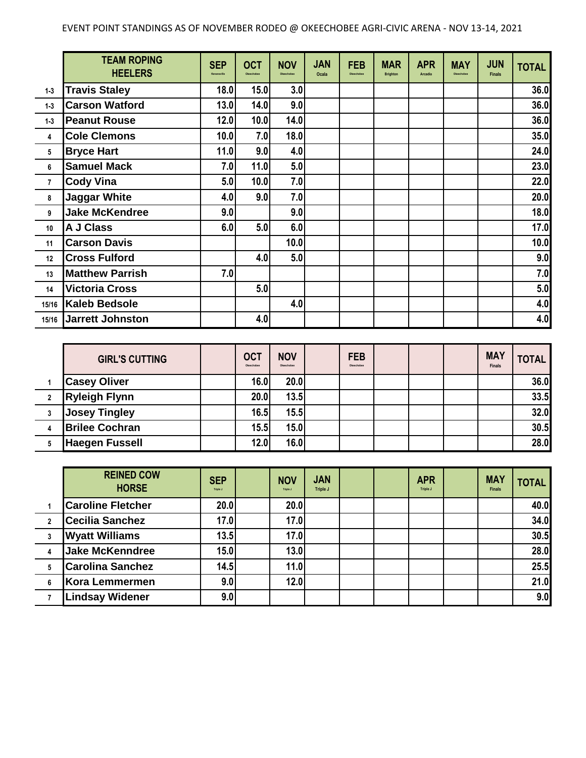|                | <b>TEAM ROPING</b><br><b>HEELERS</b> | <b>SEP</b><br>Kenansville | <b>OCT</b><br>Okeechobee | <b>NOV</b><br>Okeechobee | <b>JAN</b><br>Ocala | <b>FEB</b><br>Okeechobee | <b>MAR</b><br><b>Brighton</b> | <b>APR</b><br><b>Arcadia</b> | <b>MAY</b><br>Okeechobee | <b>JUN</b><br><b>Finals</b> | <b>TOTAL</b> |
|----------------|--------------------------------------|---------------------------|--------------------------|--------------------------|---------------------|--------------------------|-------------------------------|------------------------------|--------------------------|-----------------------------|--------------|
| $1 - 3$        | <b>Travis Staley</b>                 | 18.0                      | 15.0                     | 3.0                      |                     |                          |                               |                              |                          |                             | 36.0         |
| $1 - 3$        | <b>Carson Watford</b>                | 13.0                      | 14.0                     | 9.0                      |                     |                          |                               |                              |                          |                             | 36.0         |
| $1 - 3$        | <b>Peanut Rouse</b>                  | 12.0                      | 10.0                     | 14.0                     |                     |                          |                               |                              |                          |                             | 36.0         |
| 4              | <b>Cole Clemons</b>                  | 10.0                      | 7.0                      | 18.0                     |                     |                          |                               |                              |                          |                             | 35.0         |
| 5              | <b>Bryce Hart</b>                    | 11.0                      | 9.0                      | 4.0                      |                     |                          |                               |                              |                          |                             | 24.0         |
| 6              | <b>Samuel Mack</b>                   | 7.0                       | 11.0                     | 5.0                      |                     |                          |                               |                              |                          |                             | 23.0         |
| $\overline{7}$ | <b>Cody Vina</b>                     | 5.0                       | 10.0                     | 7.0                      |                     |                          |                               |                              |                          |                             | 22.0         |
| 8              | <b>Jaggar White</b>                  | 4.0                       | 9.0                      | 7.0                      |                     |                          |                               |                              |                          |                             | 20.0         |
| 9              | <b>Jake McKendree</b>                | 9.0                       |                          | 9.0                      |                     |                          |                               |                              |                          |                             | 18.0         |
| 10             | A J Class                            | 6.0                       | 5.0                      | 6.0                      |                     |                          |                               |                              |                          |                             | 17.0         |
| 11             | <b>Carson Davis</b>                  |                           |                          | 10.0                     |                     |                          |                               |                              |                          |                             | 10.0         |
| 12             | <b>Cross Fulford</b>                 |                           | 4.0                      | 5.0                      |                     |                          |                               |                              |                          |                             | 9.0          |
| 13             | <b>Matthew Parrish</b>               | 7.0                       |                          |                          |                     |                          |                               |                              |                          |                             | 7.0          |
| 14             | <b>Victoria Cross</b>                |                           | 5.0                      |                          |                     |                          |                               |                              |                          |                             | 5.0          |
| 15/16          | <b>Kaleb Bedsole</b>                 |                           |                          | 4.0                      |                     |                          |                               |                              |                          |                             | 4.0          |
| 15/16          | Jarrett Johnston                     |                           | 4.0                      |                          |                     |                          |                               |                              |                          |                             | 4.0          |

| <b>GIRL'S CUTTING</b> | <b>OCT</b><br>Okeechobee | <b>NOV</b><br>Okeechobee | <b>FEB</b><br>Okeechobee |  | <b>MAY</b><br><b>Finals</b> | <b>TOTAL</b> |
|-----------------------|--------------------------|--------------------------|--------------------------|--|-----------------------------|--------------|
| <b>Casey Oliver</b>   | 16.0                     | 20.0                     |                          |  |                             | 36.0         |
| <b>Ryleigh Flynn</b>  | 20.0                     | 13.5                     |                          |  |                             | 33.5         |
| <b>Josey Tingley</b>  | 16.5                     | 15.5                     |                          |  |                             | 32.0         |
| <b>Brilee Cochran</b> | 15.5                     | 15.0                     |                          |  |                             | 30.5         |
| <b>Haegen Fussell</b> | 12.0                     | 16.0                     |                          |  |                             | 28.0         |

|                | <b>REINED COW</b><br><b>HORSE</b> | <b>SEP</b><br>Triple J | <b>NOV</b><br>Triple J | <b>JAN</b><br>Triple J |  | <b>APR</b><br>Triple J | <b>MAY</b><br><b>Finals</b> | <b>TOTAL</b> |
|----------------|-----------------------------------|------------------------|------------------------|------------------------|--|------------------------|-----------------------------|--------------|
|                | <b>Caroline Fletcher</b>          | 20.0                   | 20.0                   |                        |  |                        |                             | 40.0         |
| $\overline{2}$ | <b>Cecilia Sanchez</b>            | 17.0                   | 17.0                   |                        |  |                        |                             | 34.0         |
| 3              | <b>Wyatt Williams</b>             | 13.5                   | 17.0                   |                        |  |                        |                             | 30.5         |
|                | <b>Jake McKenndree</b>            | 15.0                   | 13.0                   |                        |  |                        |                             | 28.0         |
| 5              | <b>Carolina Sanchez</b>           | 14.5                   | 11.0                   |                        |  |                        |                             | 25.5         |
| 6              | Kora Lemmermen                    | 9.0                    | 12.0                   |                        |  |                        |                             | 21.0         |
|                | <b>Lindsay Widener</b>            | 9.0                    |                        |                        |  |                        |                             | 9.0          |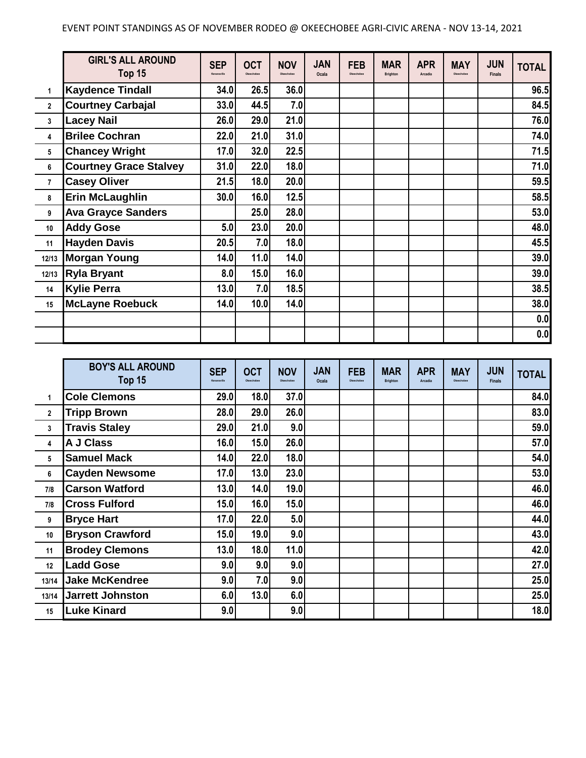|                | <b>GIRL'S ALL AROUND</b><br>Top 15 | <b>SEP</b><br>Kenansville | <b>OCT</b><br>Okeechobee | <b>NOV</b><br>Okeechobee | <b>JAN</b><br>Ocala | <b>FEB</b><br>Okeechobee | <b>MAR</b><br><b>Brighton</b> | <b>APR</b><br>Arcadia | <b>MAY</b><br>Okeechobee | <b>JUN</b><br><b>Finals</b> | <b>TOTAL</b> |
|----------------|------------------------------------|---------------------------|--------------------------|--------------------------|---------------------|--------------------------|-------------------------------|-----------------------|--------------------------|-----------------------------|--------------|
| 1              | <b>Kaydence Tindall</b>            | 34.0                      | 26.5                     | 36.0                     |                     |                          |                               |                       |                          |                             | 96.5         |
| $\mathbf{2}$   | <b>Courtney Carbajal</b>           | 33.0                      | 44.5                     | 7.0                      |                     |                          |                               |                       |                          |                             | 84.5         |
| 3              | <b>Lacey Nail</b>                  | 26.0                      | 29.0                     | 21.0                     |                     |                          |                               |                       |                          |                             | 76.0         |
| 4              | <b>Brilee Cochran</b>              | 22.0                      | 21.0                     | 31.0                     |                     |                          |                               |                       |                          |                             | 74.0         |
| 5              | <b>Chancey Wright</b>              | 17.0                      | 32.0                     | 22.5                     |                     |                          |                               |                       |                          |                             | 71.5         |
| 6              | <b>Courtney Grace Stalvey</b>      | 31.0                      | 22.0                     | 18.0                     |                     |                          |                               |                       |                          |                             | 71.0         |
| $\overline{7}$ | <b>Casey Oliver</b>                | 21.5                      | 18.0                     | 20.0                     |                     |                          |                               |                       |                          |                             | 59.5         |
| 8              | <b>Erin McLaughlin</b>             | 30.0                      | 16.0                     | 12.5                     |                     |                          |                               |                       |                          |                             | 58.5         |
| 9              | <b>Ava Grayce Sanders</b>          |                           | 25.0                     | 28.0                     |                     |                          |                               |                       |                          |                             | 53.0         |
| 10             | <b>Addy Gose</b>                   | 5.0                       | 23.0                     | 20.0                     |                     |                          |                               |                       |                          |                             | 48.0         |
| 11             | <b>Hayden Davis</b>                | 20.5                      | 7.0                      | 18.0                     |                     |                          |                               |                       |                          |                             | 45.5         |
| 12/13          | <b>Morgan Young</b>                | 14.0                      | 11.0                     | 14.0                     |                     |                          |                               |                       |                          |                             | 39.0         |
| 12/13          | <b>Ryla Bryant</b>                 | 8.0                       | 15.0                     | 16.0                     |                     |                          |                               |                       |                          |                             | 39.0         |
| 14             | <b>Kylie Perra</b>                 | 13.0                      | 7.0                      | 18.5                     |                     |                          |                               |                       |                          |                             | 38.5         |
| 15             | <b>McLayne Roebuck</b>             | 14.0                      | 10.0                     | 14.0                     |                     |                          |                               |                       |                          |                             | 38.0         |
|                |                                    |                           |                          |                          |                     |                          |                               |                       |                          |                             | 0.0          |
|                |                                    |                           |                          |                          |                     |                          |                               |                       |                          |                             | 0.0          |

|              | <b>BOY'S ALL AROUND</b><br>Top 15 | <b>SEP</b><br>Kenansville | <b>OCT</b><br>Okeechober | <b>NOV</b><br>Okeachobea | <b>JAN</b><br>Ocala | <b>FEB</b><br>Okeechobee | <b>MAR</b><br><b>Brighton</b> | <b>APR</b><br>Arcadia | <b>MAY</b><br>Okeechobee | <b>JUN</b><br><b>Finals</b> | <b>TOTAL</b> |
|--------------|-----------------------------------|---------------------------|--------------------------|--------------------------|---------------------|--------------------------|-------------------------------|-----------------------|--------------------------|-----------------------------|--------------|
| $\mathbf 1$  | <b>Cole Clemons</b>               | 29.0                      | 18.0                     | 37.0                     |                     |                          |                               |                       |                          |                             | 84.0         |
| $\mathbf{2}$ | <b>Tripp Brown</b>                | 28.0                      | 29.0                     | 26.0                     |                     |                          |                               |                       |                          |                             | 83.0         |
| 3            | <b>Travis Staley</b>              | 29.0                      | 21.0                     | 9.0                      |                     |                          |                               |                       |                          |                             | 59.0         |
| 4            | A J Class                         | 16.0                      | 15.0                     | 26.0                     |                     |                          |                               |                       |                          |                             | 57.0         |
| 5            | <b>Samuel Mack</b>                | 14.0                      | 22.0                     | 18.0                     |                     |                          |                               |                       |                          |                             | 54.0         |
| 6            | <b>Cayden Newsome</b>             | 17.0                      | 13.0                     | 23.0                     |                     |                          |                               |                       |                          |                             | 53.0         |
| 7/8          | <b>Carson Watford</b>             | 13.0                      | 14.0                     | 19.0                     |                     |                          |                               |                       |                          |                             | 46.0         |
| 7/8          | <b>Cross Fulford</b>              | 15.0                      | 16.0                     | 15.0                     |                     |                          |                               |                       |                          |                             | 46.0         |
| 9            | <b>Bryce Hart</b>                 | 17.0                      | 22.0                     | 5.0                      |                     |                          |                               |                       |                          |                             | 44.0         |
| 10           | <b>Bryson Crawford</b>            | 15.0                      | 19.0                     | 9.0                      |                     |                          |                               |                       |                          |                             | 43.0         |
| 11           | <b>Brodey Clemons</b>             | <b>13.0</b>               | 18.0                     | 11.0                     |                     |                          |                               |                       |                          |                             | 42.0         |
| 12           | Ladd Gose                         | 9.0                       | 9.0                      | 9.0                      |                     |                          |                               |                       |                          |                             | 27.0         |
| 13/14        | <b>Jake McKendree</b>             | 9.0                       | 7.0                      | 9.0                      |                     |                          |                               |                       |                          |                             | 25.0         |
| 13/14        | <b>Jarrett Johnston</b>           | 6.0                       | 13.0                     | 6.0                      |                     |                          |                               |                       |                          |                             | 25.0         |
| 15           | Luke Kinard                       | 9.0                       |                          | 9.0                      |                     |                          |                               |                       |                          |                             | 18.0         |